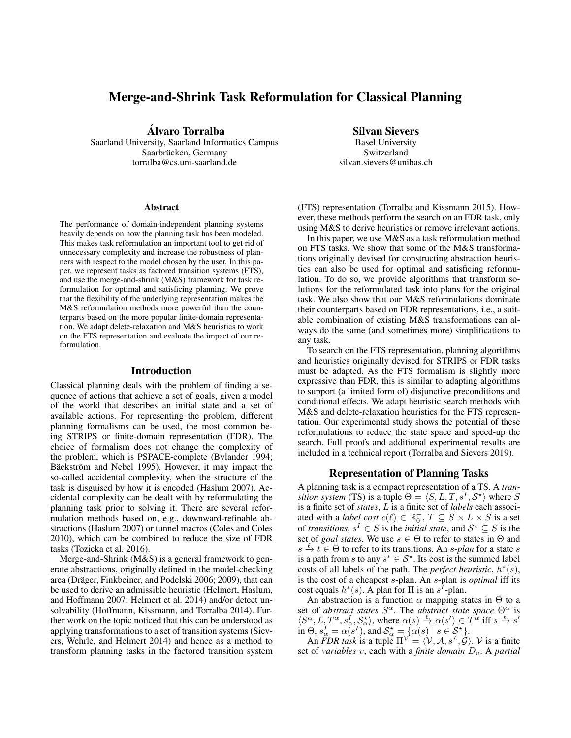# Merge-and-Shrink Task Reformulation for Classical Planning

Alvaro Torralba ´

Saarland University, Saarland Informatics Campus Saarbrücken, Germany torralba@cs.uni-saarland.de

#### Abstract

The performance of domain-independent planning systems heavily depends on how the planning task has been modeled. This makes task reformulation an important tool to get rid of unnecessary complexity and increase the robustness of planners with respect to the model chosen by the user. In this paper, we represent tasks as factored transition systems (FTS), and use the merge-and-shrink (M&S) framework for task reformulation for optimal and satisficing planning. We prove that the flexibility of the underlying representation makes the M&S reformulation methods more powerful than the counterparts based on the more popular finite-domain representation. We adapt delete-relaxation and M&S heuristics to work on the FTS representation and evaluate the impact of our reformulation.

### Introduction

Classical planning deals with the problem of finding a sequence of actions that achieve a set of goals, given a model of the world that describes an initial state and a set of available actions. For representing the problem, different planning formalisms can be used, the most common being STRIPS or finite-domain representation (FDR). The choice of formalism does not change the complexity of the problem, which is PSPACE-complete (Bylander 1994; Bäckström and Nebel 1995). However, it may impact the so-called accidental complexity, when the structure of the task is disguised by how it is encoded (Haslum 2007). Accidental complexity can be dealt with by reformulating the planning task prior to solving it. There are several reformulation methods based on, e.g., downward-refinable abstractions (Haslum 2007) or tunnel macros (Coles and Coles 2010), which can be combined to reduce the size of FDR tasks (Tozicka et al. 2016).

Merge-and-Shrink (M&S) is a general framework to generate abstractions, originally defined in the model-checking area (Dräger, Finkbeiner, and Podelski 2006; 2009), that can be used to derive an admissible heuristic (Helmert, Haslum, and Hoffmann 2007; Helmert et al. 2014) and/or detect unsolvability (Hoffmann, Kissmann, and Torralba 2014). Further work on the topic noticed that this can be understood as applying transformations to a set of transition systems (Sievers, Wehrle, and Helmert 2014) and hence as a method to transform planning tasks in the factored transition system

Silvan Sievers

Basel University Switzerland silvan.sievers@unibas.ch

(FTS) representation (Torralba and Kissmann 2015). However, these methods perform the search on an FDR task, only using M&S to derive heuristics or remove irrelevant actions.

In this paper, we use M&S as a task reformulation method on FTS tasks. We show that some of the M&S transformations originally devised for constructing abstraction heuristics can also be used for optimal and satisficing reformulation. To do so, we provide algorithms that transform solutions for the reformulated task into plans for the original task. We also show that our M&S reformulations dominate their counterparts based on FDR representations, i.e., a suitable combination of existing M&S transformations can always do the same (and sometimes more) simplifications to any task.

To search on the FTS representation, planning algorithms and heuristics originally devised for STRIPS or FDR tasks must be adapted. As the FTS formalism is slightly more expressive than FDR, this is similar to adapting algorithms to support (a limited form of) disjunctive preconditions and conditional effects. We adapt heuristic search methods with M&S and delete-relaxation heuristics for the FTS representation. Our experimental study shows the potential of these reformulations to reduce the state space and speed-up the search. Full proofs and additional experimental results are included in a technical report (Torralba and Sievers 2019).

## Representation of Planning Tasks

A planning task is a compact representation of a TS. A *transition system* (TS) is a tuple  $\Theta = \langle S, L, T, s^I, \mathcal{S}^{\star} \rangle$  where S is a finite set of *states*, L is a finite set of *labels* each associated with a *label cost*  $c(\ell) \in \mathbb{R}_0^+$ ,  $T \subseteq S \times L \times S$  is a set of *transitions*,  $s^I \in S$  is the *initial state*, and  $S^* \subseteq S$  is the set of *goal states*. We use  $s \in \Theta$  to refer to states in  $\Theta$  and  $s \stackrel{\ell}{\to} t \in \Theta$  to refer to its transitions. An *s-plan* for a state *s* is a path from s to any  $s^* \in S^*$ . Its cost is the summed label costs of all labels of the path. The *perfect heuristic*,  $h^*(s)$ , is the cost of a cheapest s-plan. An s-plan is *optimal* iff its cost equals  $h^*(s)$ . A plan for  $\Pi$  is an  $s^T$ -plan.

An abstraction is a function  $\alpha$  mapping states in  $\Theta$  to a set of *abstract states*  $S^{\alpha}$ . The *abstract state space*  $\Theta_{\alpha}^{\alpha}$  is  $\langle S^{\alpha}, L, T^{\alpha}, s_{\alpha}^I, S_{\alpha}^{\star} \rangle$ , where  $\alpha(s) \stackrel{\ell}{\rightarrow} \alpha(s') \in T^{\alpha}$  iff  $s \stackrel{\ell}{\rightarrow} s'$ in  $\Theta$ ,  $s_{\alpha}^I = \alpha(s^I)$ , and  $S_{\alpha}^* = \{\alpha(s) \mid s \in S^* \}.$ 

An *FDR task* is a tuple  $\Pi^{\mathcal{V}} = \langle \mathcal{V}, \mathcal{A}, s^{\mathcal{I}}, \mathcal{G} \rangle$ . V is a finite set of *variables* v, each with a *finite domain*  $D_v$ . A *partial*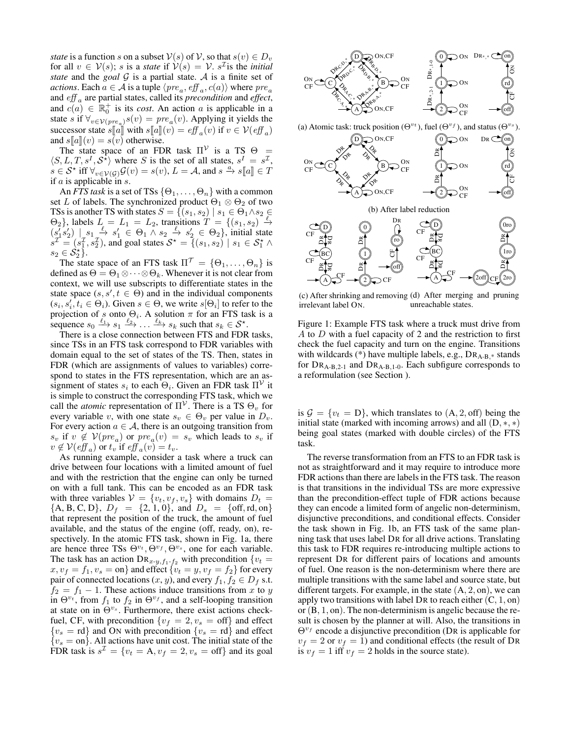*state* is a function s on a subset  $V(s)$  of V, so that  $s(v) \in D_v$ for all  $v \in V(s)$ ; s is a *state* if  $V(s) = V$ . s<sup>T</sup> is the *initial state* and the *goal*  $G$  is a partial state.  $A$  is a finite set of *actions*. Each  $a \in \mathcal{A}$  is a tuple  $\langle pre_a, \mathit{eff}_a, \mathit{c}(a) \rangle$  where  $\mathit{pre}_a$ and eff <sup>a</sup> are partial states, called its *precondition* and *effect*, and  $c(a) \in \mathbb{R}_0^+$  is its *cost*. An action a is applicable in a state s if  $\forall_{v \in \mathcal{V}(pre_a)} s(v) = pre_a(v)$ . Applying it yields the successor state  $s[[a]]$  with  $s[[a]](v) = eff_a(v)$  if  $v \in V(eff_a)$ <br>and  $s[[a]](v) = s(v)$  otherwise and  $s[[a]](v) = s(v)$  otherwise.

The state space of an FDR task  $\Pi^{\mathcal{V}}$  is a TS  $\Theta =$  $\langle S, L, T, s^I, S^{\hat{\star}} \rangle$  where S is the set of all states,  $s^I = s^{\mathcal{I}}$ ,  $s \in S^*$  iff  $\forall_{v \in V(G)} G(v) = s(v)$ ,  $L = A$ , and  $s \stackrel{a}{\to} s[[a]] \in T$ <br>if a is applicable in s if  $a$  is applicable in  $s$ .

An *FTS task* is a set of TSs  $\{\Theta_1, \dots, \Theta_n\}$  with a common set L of labels. The synchronized product  $\Theta_1 \otimes \Theta_2$  of two TSs is another TS with states  $S = \{(s_1, s_2) \mid s_1 \in \Theta_1 \wedge s_2 \in$  $\Theta_2$ , labels  $L = L_1 = L_2$ , transitions  $T = \{(s_1, s_2) \stackrel{\ell}{\to}$  $(s_1's_2') \mid s_1 \xrightarrow{\ell} s_1' \in \Theta_1 \wedge s_2 \xrightarrow{\ell} s_2' \in \Theta_2$ , initial state  $s^{\mathcal{I}} = (s_1^{\mathcal{I}}, s_2^{\mathcal{I}})$ , and goal states  $S^* = \{ (s_1, s_2) \mid s_1 \in S_1^* \wedge$  $s_2 \in \mathcal{S}_2^{\star}$ .

The state space of an FTS task  $\Pi^{\mathcal{T}} = \{\Theta_1, \dots, \Theta_n\}$  is defined as  $\Theta = \Theta_1 \otimes \cdots \otimes \Theta_k$ . Whenever it is not clear from context, we will use subscripts to differentiate states in the state space  $(s, s', t \in \Theta)$  and in the individual components  $(s_i, s'_i, t_i \in \Theta_i)$ . Given  $s \in \Theta$ , we write  $s[\Theta_i]$  to refer to the projection of s onto  $\Theta_i$ . A solution  $\pi$  for an FTS task is a sequence  $s_0 \xrightarrow{\ell_1} s_1 \xrightarrow{\ell_2} \dots \xrightarrow{\ell_k} s_k$  such that  $s_k \in S^*$ .

There is a close connection between FTS and FDR tasks, since TSs in an FTS task correspond to FDR variables with domain equal to the set of states of the TS. Then, states in FDR (which are assignments of values to variables) correspond to states in the FTS representation, which are an assignment of states  $s_i$  to each  $\Theta_i$ . Given an FDR task  $\Pi^{\mathcal{V}}$  it is simple to construct the corresponding FTS task, which we call the *atomic* representation of  $\Pi^{\mathcal{V}}$ . There is a TS  $\Theta_v$  for every variable v, with one state  $s_v \in \Theta_v$  per value in  $D_v$ . For every action  $a \in \mathcal{A}$ , there is an outgoing transition from  $s_v$  if  $v \notin V(pre_a)$  or  $pre_a(v) = s_v$  which leads to  $s_v$  if  $v \notin V(eff_a)$  or  $t_v$  if  $eff_a(v) = t_v$ .

As running example, consider a task where a truck can drive between four locations with a limited amount of fuel and with the restriction that the engine can only be turned on with a full tank. This can be encoded as an FDR task with three variables  $V = \{v_t, v_f, v_s\}$  with domains  $D_t$  ${A, B, C, D}$ ,  $D_f = {2, 1, 0}$ , and  $D_s = {off, rd, on}$ that represent the position of the truck, the amount of fuel available, and the status of the engine (off, ready, on), respectively. In the atomic FTS task, shown in Fig. 1a, there are hence three TSs  $\Theta^{v_t}, \Theta^{v_f}, \Theta^{v_s}$ , one for each variable. The task has an action  $\text{DR}_{x-y,f_1-f_2}$  with precondition  $\{v_t =$  $x, v_f = f_1, v_s = \text{on}$  and effect  $\{v_t = y, v_f = f_2\}$  for every pair of connected locations  $(x, y)$ , and every  $f_1, f_2 \in D_f$  s.t.  $f_2 = f_1 - 1$ . These actions induce transitions from x to y in  $\Theta^{v_t}$ , from  $f_1$  to  $f_2$  in  $\Theta^{v_f}$ , and a self-looping transition at state on in  $\Theta^{v_s}$ . Furthermore, there exist actions checkfuel, CF, with precondition  $\{v_f = 2, v_s = \text{off}\}\$ and effect  ${v_s = rd}$  and ON with precondition  ${v_s = rd}$  and effect  ${y_s = \text{on}}$ . All actions have unit cost. The initial state of the FDR task is  $s^{\mathcal{I}} = \{v_t = A, v_f = 2, v_s = \text{off}\}\$ and its goal



(c) After shrinking and removing (d) After merging and pruning irrelevant label ON. unreachable states.

Figure 1: Example FTS task where a truck must drive from A to D with a fuel capacity of 2 and the restriction to first check the fuel capacity and turn on the engine. Transitions with wildcards (\*) have multiple labels, e.g.,  $DR_{A-B,*}$  stands for  $DR_{A-B,2-1}$  and  $DR_{A-B,1-0}$ . Each subfigure corresponds to a reformulation (see Section ).

is  $\mathcal{G} = \{v_t = D\}$ , which translates to  $(A, 2, \text{off})$  being the initial state (marked with incoming arrows) and all  $(D, *, *)$ being goal states (marked with double circles) of the FTS task.

The reverse transformation from an FTS to an FDR task is not as straightforward and it may require to introduce more FDR actions than there are labels in the FTS task. The reason is that transitions in the individual TSs are more expressive than the precondition-effect tuple of FDR actions because they can encode a limited form of angelic non-determinism, disjunctive preconditions, and conditional effects. Consider the task shown in Fig. 1b, an FTS task of the same planning task that uses label DR for all drive actions. Translating this task to FDR requires re-introducing multiple actions to represent DR for different pairs of locations and amounts of fuel. One reason is the non-determinism where there are multiple transitions with the same label and source state, but different targets. For example, in the state  $(A, 2, on)$ , we can apply two transitions with label DR to reach either  $(C, 1, on)$ or (B, 1, on). The non-determinism is angelic because the result is chosen by the planner at will. Also, the transitions in  $\Theta^{v_f}$  encode a disjunctive precondition (DR is applicable for  $v_f = 2$  or  $v_f = 1$ ) and conditional effects (the result of DR is  $v_f = 1$  iff  $v_f = 2$  holds in the source state).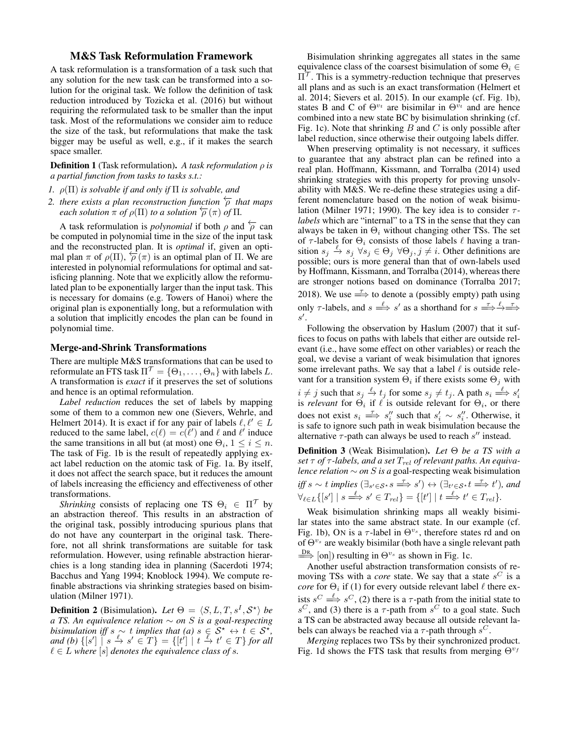# M&S Task Reformulation Framework

A task reformulation is a transformation of a task such that any solution for the new task can be transformed into a solution for the original task. We follow the definition of task reduction introduced by Tozicka et al. (2016) but without requiring the reformulated task to be smaller than the input task. Most of the reformulations we consider aim to reduce the size of the task, but reformulations that make the task bigger may be useful as well, e.g., if it makes the search space smaller.

Definition 1 (Task reformulation). *A task reformulation* ρ *is a partial function from tasks to tasks s.t.:*

- *1.* ρ(Π) *is solvable if and only if* Π *is solvable, and*
- 2. *there exists a plan reconstruction function*  $\frac{}{\sqrt{2}}$  *that maps each solution*  $\pi$  *of*  $\rho(\Pi)$  *to a solution*  $\overleftarrow{\rho}(\pi)$  *of*  $\Pi$ *.*

A task reformulation is *polynomial* if both  $\rho$  and  $\overline{p}$  can be computed in polynomial time in the size of the input task and the reconstructed plan. It is *optimal* if, given an optimal plan  $\pi$  of  $\rho(\Pi)$ ,  $\rho(\pi)$  is an optimal plan of  $\Pi$ . We are interested in polynomial reformulations for optimal and satisficing planning. Note that we explicitly allow the reformulated plan to be exponentially larger than the input task. This is necessary for domains (e.g. Towers of Hanoi) where the original plan is exponentially long, but a reformulation with a solution that implicitly encodes the plan can be found in polynomial time.

## Merge-and-Shrink Transformations

There are multiple M&S transformations that can be used to reformulate an FTS task  $\Pi^{\mathcal{T}} = \{\Theta_1, \dots, \Theta_n\}$  with labels L. A transformation is *exact* if it preserves the set of solutions and hence is an optimal reformulation.

*Label reduction* reduces the set of labels by mapping some of them to a common new one (Sievers, Wehrle, and Helmert 2014). It is exact if for any pair of labels  $\ell, \ell' \in L$ reduced to the same label,  $c(\ell) = c(\ell')$  and  $\ell$  and  $\ell'$  induce the same transitions in all but (at most) one  $\Theta_i$ ,  $1 \leq i \leq n$ . The task of Fig. 1b is the result of repeatedly applying exact label reduction on the atomic task of Fig. 1a. By itself, it does not affect the search space, but it reduces the amount of labels increasing the efficiency and effectiveness of other transformations.

*Shrinking* consists of replacing one TS  $\Theta_i \in \Pi^{\mathcal{T}}$  by an abstraction thereof. This results in an abstraction of the original task, possibly introducing spurious plans that do not have any counterpart in the original task. Therefore, not all shrink transformations are suitable for task reformulation. However, using refinable abstraction hierarchies is a long standing idea in planning (Sacerdoti 1974; Bacchus and Yang 1994; Knoblock 1994). We compute refinable abstractions via shrinking strategies based on bisimulation (Milner 1971).

**Definition 2** (Bisimulation). Let  $\Theta = \langle S, L, T, s^I, \mathcal{S}^* \rangle$  be *a TS. An equivalence relation* ∼ *on* S *is a goal-respecting bisimulation iff*  $s \sim t$  *implies that*  $(a)$   $s \in S^* \leftrightarrow t \in S^*$ ,  $and (b) \{ [s'] \mid s \stackrel{\ell}{\to} s' \in T \} = \{ [t'] \mid t \stackrel{\ell}{\to} t' \in T \}$  *for all*  $\ell \in L$  where  $[s]$  denotes the equivalence class of s.

Bisimulation shrinking aggregates all states in the same equivalence class of the coarsest bisimulation of some  $\Theta_i \in$  $\Pi^{\prime}$ . This is a symmetry-reduction technique that preserves all plans and as such is an exact transformation (Helmert et al. 2014; Sievers et al. 2015). In our example (cf. Fig. 1b), states B and C of  $\Theta^{v_t}$  are bisimilar in  $\Theta^{v_t}$  and are hence combined into a new state BC by bisimulation shrinking (cf. Fig. 1c). Note that shrinking  $B$  and  $C$  is only possible after label reduction, since otherwise their outgoing labels differ.

When preserving optimality is not necessary, it suffices to guarantee that any abstract plan can be refined into a real plan. Hoffmann, Kissmann, and Torralba (2014) used shrinking strategies with this property for proving unsolvability with M&S. We re-define these strategies using a different nomenclature based on the notion of weak bisimulation (Milner 1971; 1990). The key idea is to consider  $\tau$ *labels* which are "internal" to a TS in the sense that they can always be taken in  $\Theta_i$  without changing other TSs. The set of  $\tau$ -labels for  $\Theta_i$  consists of those labels  $\ell$  having a transition  $s_j \stackrel{\ell}{\to} s_j \forall s_j \in \Theta_j \ \forall \Theta_j, j \neq i$ . Other definitions are possible; ours is more general than that of own-labels used by Hoffmann, Kissmann, and Torralba (2014), whereas there are stronger notions based on dominance (Torralba 2017; 2018). We use  $\Rightarrow$  to denote a (possibly empty) path using only  $\tau$ -labels, and  $s \stackrel{\ell}{\Longrightarrow} s'$  as a shorthand for  $s \stackrel{\tau}{\Longrightarrow} \stackrel{\ell}{\Longrightarrow} \stackrel{\tau}{\Longrightarrow}$  $s'.$ 

Following the observation by Haslum (2007) that it suffices to focus on paths with labels that either are outside relevant (i.e., have some effect on other variables) or reach the goal, we devise a variant of weak bisimulation that ignores some irrelevant paths. We say that a label  $\ell$  is outside relevant for a transition system  $\Theta_i$  if there exists some  $\Theta_j$  with  $i \neq j$  such that  $s_j \xrightarrow{\ell} t_j$  for some  $s_j \neq t_j$ . A path  $s_i \xrightarrow{\ell} s'_i$  is *relevant* for  $\Theta_i$ , if  $\ell$  is outside relevant for  $\Theta_i$ , or there does not exist  $s_i \stackrel{\tau}{\implies} s''_i$  such that  $s'_i \sim s''_i$ . Otherwise, it is safe to ignore such path in weak bisimulation because the alternative  $\tau$ -path can always be used to reach  $s''$  instead.

Definition 3 (Weak Bisimulation). *Let* Θ *be a TS with a set*  $τ$  *of*  $τ$ *-labels, and a set*  $T_{rel}$  *of relevant paths. An equivalence relation* ∼ *on* S *is a* goal-respecting weak bisimulation *iff*  $s \sim t$  *implies*  $(\exists_{s' \in S^*} s \Longrightarrow^{\tau} s') \leftrightarrow (\exists_{t' \in S^*} t \Longrightarrow^{\tau} t')$ *, and*  $\forall_{\ell \in L} \{ [s'] \mid s \stackrel{\ell}{\Longrightarrow} s' \in T_{rel} \} = \{ [t'] \mid t \stackrel{\ell}{\Longrightarrow} t' \in T_{rel} \}.$ 

Weak bisimulation shrinking maps all weakly bisimilar states into the same abstract state. In our example (cf. Fig. 1b), ON is a  $\tau$ -label in  $\Theta^{v_s}$ , therefore states rd and on of  $\Theta^{v_s}$  are weakly bisimilar (both have a single relevant path  $\frac{DR}{\Longrightarrow}$  [on]) resulting in  $\Theta^{v_s}$  as shown in Fig. 1c.

Another useful abstraction transformation consists of removing TSs with a *core* state. We say that a state  $s^C$  is a *core* for  $\Theta_i$  if (1) for every outside relevant label  $\ell$  there exists  $s^C \stackrel{\ell}{\Longrightarrow} s^C$ , (2) there is a  $\tau$ -path from the initial state to  $s^C$ , and (3) there is a  $\tau$ -path from  $s^C$  to a goal state. Such a TS can be abstracted away because all outside relevant labels can always be reached via a  $\tau$ -path through  $s^C$ .

*Merging* replaces two TSs by their synchronized product. Fig. 1d shows the FTS task that results from merging  $\Theta^{v_f}$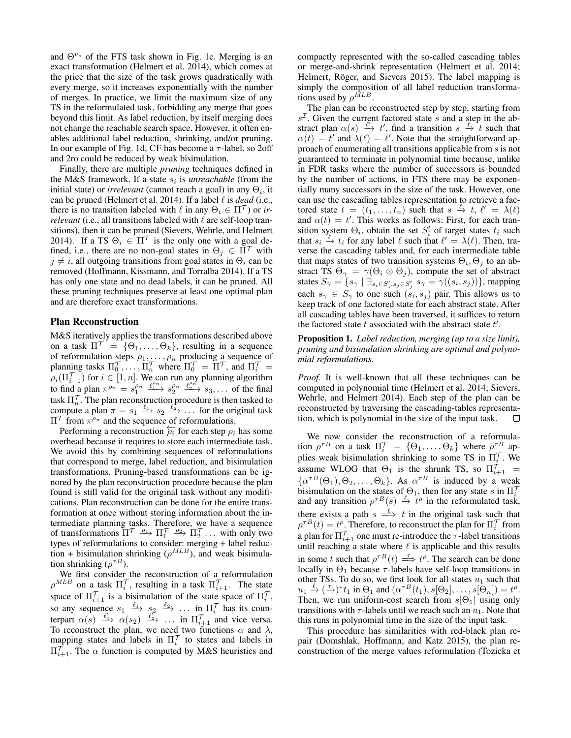and  $\Theta^{v_s}$  of the FTS task shown in Fig. 1c. Merging is an exact transformation (Helmert et al. 2014), which comes at the price that the size of the task grows quadratically with every merge, so it increases exponentially with the number of merges. In practice, we limit the maximum size of any TS in the reformulated task, forbidding any merge that goes beyond this limit. As label reduction, by itself merging does not change the reachable search space. However, it often enables additional label reduction, shrinking, and/or pruning. In our example of Fig. 1d, CF has become a  $\tau$ -label, so 2off and 2ro could be reduced by weak bisimulation.

Finally, there are multiple *pruning* techniques defined in the M&S framework. If a state  $s_i$  is *unreachable* (from the initial state) or *irrelevant* (cannot reach a goal) in any  $\Theta_i$ , it can be pruned (Helmert et al. 2014). If a label  $\ell$  is *dead* (i.e., there is no transition labeled with  $\ell$  in any  $\Theta_i \in \Pi^{\mathcal{T}}$ ) or *irrelevant* (i.e., all transitions labeled with  $\ell$  are self-loop transitions), then it can be pruned (Sievers, Wehrle, and Helmert 2014). If a TS  $\Theta_i \in \Pi^{\mathcal{T}}$  is the only one with a goal defined, i.e., there are no non-goal states in  $\Theta_i \in \Pi^{\mathcal{T}}$  with  $j \neq i$ , all outgoing transitions from goal states in  $\Theta_i$  can be removed (Hoffmann, Kissmann, and Torralba 2014). If a TS has only one state and no dead labels, it can be pruned. All these pruning techniques preserve at least one optimal plan and are therefore exact transformations.

### Plan Reconstruction

M&S iteratively applies the transformations described above on a task  $\Pi' = {\Theta_1, \ldots, \Theta_k}$ , resulting in a sequence of reformulation steps  $\rho_1, \ldots, \rho_n$  producing a sequence of planning tasks  $\Pi_0^{\mathcal{T}}, \ldots, \Pi_n^{\mathcal{T}}$  where  $\Pi_0^{\mathcal{T}} = \Pi^{\mathcal{T}}$ , and  $\Pi_i^{\mathcal{T}} =$  $\rho_i(\Pi_{i=1}^{\mathcal{T}})$  for  $i \in [1, n]$ . We can run any planning algorithm to find a plan  $\pi^{\rho_n} = s_1^{\rho_n} \xrightarrow{\ell_1^{\rho_n}} s_2^{\rho_n} \xrightarrow{\ell_2^{\rho_n}} s_3, \dots$  of the final task  $\Pi_n^{\gamma}$ . The plan reconstruction procedure is then tasked to compute a plan  $\pi = s_1 \xrightarrow{\ell_1} s_2 \xrightarrow{\ell_2} \dots$  for the original task  $\Pi^{\mathcal{T}}$  from  $\pi^{\rho_n}$  and the sequence of reformulations.

Performing a reconstruction  $\overleftarrow{\rho_i}$  for each step  $\rho_i$  has some overhead because it requires to store each intermediate task. We avoid this by combining sequences of reformulations that correspond to merge, label reduction, and bisimulation transformations. Pruning-based transformations can be ignored by the plan reconstruction procedure because the plan found is still valid for the original task without any modifications. Plan reconstruction can be done for the entire transformation at once without storing information about the intermediate planning tasks. Therefore, we have a sequence of transformations  $\Pi^{\mathcal{T}} \xrightarrow{\rho_1} \Pi_1^{\mathcal{T}} \xrightarrow{\rho_2} \Pi_2^{\mathcal{T}} \dots$  with only two types of reformulations to consider: merging + label reduction + bisimulation shrinking ( $\rho^{MLB}$ ), and weak bisimulation shrinking  $(\rho^{\tau B})$ .

We first consider the reconstruction of a reformulation  $\rho^{MLB}$  on a task  $\Pi_i^{\mathcal{T}}$ , resulting in a task  $\Pi_{i+1}^{\mathcal{T}}$ . The state space of  $\Pi_{i+1}^{\gamma}$  is a bisimulation of the state space of  $\Pi_i^{\gamma}$ , space of  $\Pi_{i+1}$  is a bisimulation of the state space of  $\Pi_i$ ,<br>so any sequence  $s_1 \xrightarrow{\ell_1} s_2 \xrightarrow{\ell_2} \dots$  in  $\Pi_i^{\mathcal{T}}$  has its counterpart  $\alpha(s) \xrightarrow{\ell'_1} \alpha(s_2) \xrightarrow{\ell'_2} \dots$  in  $\Pi_{i+1}^T$  and vice versa. To reconstruct the plan, we need two functions  $\alpha$  and  $\lambda$ , mapping states and labels in  $\Pi_i^{\prime}$  to states and labels in  $\Pi_{i+1}^{\gamma}$ . The  $\alpha$  function is computed by M&S heuristics and

compactly represented with the so-called cascading tables or merge-and-shrink representation (Helmert et al. 2014; Helmert, Röger, and Sievers 2015). The label mapping is simply the composition of all label reduction transformations used by  $\rho^{\tilde{M}LB}$ .

The plan can be reconstructed step by step, starting from  $s<sup>Z</sup>$ . Given the current factored state s and a step in the abstract plan  $\alpha(s) \stackrel{\ell}{\to} t'$ , find a transition  $s \stackrel{\ell}{\to} t$  such that  $\alpha(t) = t'$  and  $\lambda(\ell) = \ell'$ . Note that the straightforward approach of enumerating all transitions applicable from s is not guaranteed to terminate in polynomial time because, unlike in FDR tasks where the number of successors is bounded by the number of actions, in FTS there may be exponentially many successors in the size of the task. However, one can use the cascading tables representation to retrieve a factored state  $t = (t_1, \ldots, t_n)$  such that  $s \stackrel{\ell}{\to} t$ ,  $\ell' = \lambda(\ell)$ and  $\alpha(t) = t'$ . This works as follows: First, for each transition system  $\Theta_i$ , obtain the set  $S_i'$  of target states  $t_i$  such that  $s_i \stackrel{\ell}{\to} t_i$  for any label  $\ell$  such that  $\ell' = \lambda(\ell)$ . Then, traverse the cascading tables and, for each intermediate table that maps states of two transition systems  $\Theta_i$ ,  $\Theta_j$  to an abstract TS  $\Theta_{\gamma} = \gamma(\Theta_i \otimes \Theta_j)$ , compute the set of abstract states  $S_{\gamma} = \{s_{\gamma} \mid \exists_{s_i \in S'_i, s_j \in S'_j} s_{\gamma} = \gamma((s_i, s_j))\}$ , mapping each  $s_{\gamma} \in S_{\gamma}$  to one such  $(s_i, s_j)$  pair. This allows us to keep track of one factored state for each abstract state. After all cascading tables have been traversed, it suffices to return the factored state  $t$  associated with the abstract state  $t'$ .

Proposition 1. *Label reduction, merging (up to a size limit), pruning and bisimulation shrinking are optimal and polynomial reformulations.*

*Proof.* It is well-known that all these techniques can be computed in polynomial time (Helmert et al. 2014; Sievers, Wehrle, and Helmert 2014). Each step of the plan can be reconstructed by traversing the cascading-tables representation, which is polynomial in the size of the input task.  $\Box$ 

We now consider the reconstruction of a reformulation  $\rho^{\tau B}$  on a task  $\Pi_i^{\mathcal{T}} = {\Theta_1, \ldots, \Theta_k}$  where  $\rho^{\tau B}_{\phantom{\tau} \sigma}$  applies weak bisimulation shrinking to some TS in  $\Pi_i^{\prime}$ . We bies weak bisimulation similaring to some 15 in  $\Pi_i^1$ . We assume WLOG that  $\Theta_1$  is the shrunk TS, so  $\Pi_{i+1}^7$  $\{\alpha^{\tau B}(\Theta_1), \Theta_2, \ldots, \Theta_k\}.$  As  $\alpha^{\tau B}$  is induced by a weak bisimulation on the states of  $\Theta_1$ , then for any state s in  $\Pi_i^T$  and any transition  $\rho^{\tau B}(s) \stackrel{\ell}{\to} t^{\rho}$  in the reformulated task, there exists a path  $s \stackrel{\ell}{\implies} t$  in the original task such that  $\rho^{\tau}B(t) = t^{\rho}$ . Therefore, to reconstruct the plan for  $\Pi_i^{\mathcal{T}}$  from a plan for  $\Pi_{i+1}^{\mathcal{T}}$  one must re-introduce the  $\tau$ -label transitions until reaching a state where  $\ell$  is applicable and this results in some t such that  $\rho^{\tau} B(t) \stackrel{\tau}{\Longrightarrow} t^{\rho}$ . The search can be done locally in  $\Theta_1$  because  $\tau$ -labels have self-loop transitions in other TSs. To do so, we first look for all states  $u_1$  such that  $u_1 \xrightarrow{\ell} (\tilde{\rightarrow})^* t_1$  in  $\Theta_1$  and  $(\alpha^{\tau}{}^B(t_1), s[\Theta_2], \dots, s[\Theta_n]) = t^{\rho}$ . Then, we run uniform-cost search from  $s[\Theta_1]$  using only transitions with  $\tau$ -labels until we reach such an  $u_1$ . Note that this runs in polynomial time in the size of the input task.

This procedure has similarities with red-black plan repair (Domshlak, Hoffmann, and Katz 2015), the plan reconstruction of the merge values reformulation (Tozicka et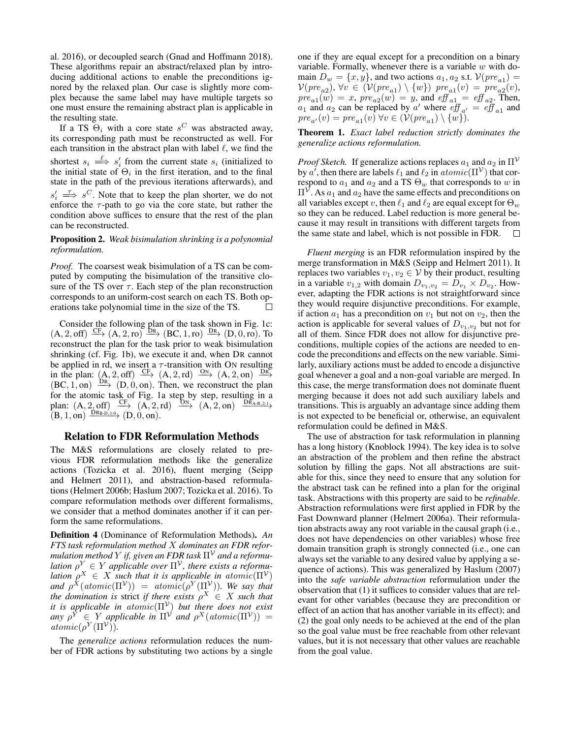al. 2016), or decoupled search (Gnad and Hoffmann 2018). These algorithms repair an abstract/relaxed plan by introducing additional actions to enable the preconditions ignored by the relaxed plan. Our case is slightly more complex because the same label may have multiple targets so one must ensure the remaining abstract plan is applicable in the resulting state.

If a TS  $\Theta_i$  with a core state s<sup>C</sup> was abstracted away, its corresponding path must be reconstructed as well. For each transition in the abstract plan with label  $\ell$ , we find the shortest  $s_i \stackrel{\ell}{\implies} s'_i$  from the current state  $s_i$  (initialized to the initial state of  $\Theta_i$  in the first iteration, and to the final state in the path of the previous iterations afterwards), and  $s_i' \implies s^C$ . Note that to keep the plan shorter, we do not enforce the  $\tau$ -path to go via the core state, but rather the condition above suffices to ensure that the rest of the plan can be reconstructed.

Proposition 2. *Weak bisimulation shrinking is a polynomial reformulation.*

*Proof.* The coarsest weak bisimulation of a TS can be computed by computing the bisimulation of the transitive closure of the TS over  $\tau$ . Each step of the plan reconstruction corresponds to an uniform-cost search on each TS. Both operations take polynomial time in the size of the TS.  $\Box$ 

Consider the following plan of the task shown in Fig. 1c:  $(A, 2, off) \xrightarrow{\text{CF}} (A, 2, ro) \xrightarrow{\text{DR}} (BC, 1, ro) \xrightarrow{\text{DR}} (D, 0, ro)$ . To reconstruct the plan for the task prior to weak bisimulation shrinking (cf. Fig. 1b), we execute it and, when DR cannot be applied in rd, we insert a  $\tau$ -transition with ON resulting in the plan:  $(A, 2, off) \xrightarrow{CF} (A, 2, rd) \xrightarrow{ON} (A, 2, on) \xrightarrow{DR}$  $(BC, 1, on) \xrightarrow{DR} (D, 0, on)$ . Then, we reconstruct the plan for the atomic task of Fig. 1a step by step, resulting in a plan:  $(A, 2, off) \xrightarrow{CF} (A, 2, rd) \xrightarrow{ON} (A, 2, on) \xrightarrow{DR_{A-B,2-1}}$  $(B, 1, \text{on}) \xrightarrow{\text{DR}_{\text{B-D},1-0}} (D, 0, \text{on}).$ 

#### Relation to FDR Reformulation Methods

The M&S reformulations are closely related to previous FDR reformulation methods like the generalize actions (Tozicka et al. 2016), fluent merging (Seipp and Helmert 2011), and abstraction-based reformulations (Helmert 2006b; Haslum 2007; Tozicka et al. 2016). To compare reformulation methods over different formalisms, we consider that a method dominates another if it can perform the same reformulations.

Definition 4 (Dominance of Reformulation Methods). *An FTS task reformulation method* X *dominates an FDR reformulation method* Y *if, given an FDR task*  $\Pi^{\mathcal{V}}$  *and a reformulation*  $\rho^Y \in Y$  applicable over  $\Pi^{\mathcal{V}}$ , there exists a reformu*lation*  $\rho^X \in X$  *such that it is applicable in atomic*( $\Pi^{\mathcal{V}}$ ) and  $\rho^X(atomic(\Pi^{\mathcal{V}})) = atomic(\rho^Y(\Pi^{\mathcal{V}}))$ *. We say that the domination is strict if there exists*  $\rho^X \in X$  *such that it is applicable in* atomic(Π<sup>V</sup> ) *but there does not exist*  $any \rho^Y \in Y$  *applicable in*  $\Pi^{\mathcal{V}}$  *and*  $\rho^X(atomic(\Pi^{\mathcal{V}})) =$  $atomic(\rho^Y(\Pi^{\mathcal{V}})).$ 

The *generalize actions* reformulation reduces the number of FDR actions by substituting two actions by a single one if they are equal except for a precondition on a binary variable. Formally, whenever there is a variable  $w$  with domain  $D_w = \{x, y\}$ , and two actions  $a_1, a_2$  s.t.  $\mathcal{V}(pre_{a_1}) =$  $\mathcal{V}(pre_{a2}), \forall v \in (\mathcal{V}(pre_{a1}) \setminus \{w\}) \ pre_{a1}(v) = pre_{a2}(v),$  $pre_{a1}(w) = x$ ,  $pre_{a2}(w) = y$ , and  $eff_{a1} = eff_{a2}$ . Then,  $a_1$  and  $a_2$  can be replaced by a' where  $\operatorname{eff}_{a'} = \operatorname{eff}_{a_1}$  and  $pre_{a'}(v) = pre_{a1}(v) \ \forall v \in (\mathcal{V}(pre_{a1}) \setminus \{w\}).$ 

Theorem 1. *Exact label reduction strictly dominates the generalize actions reformulation.*

*Proof Sketch.* If generalize actions replaces  $a_1$  and  $a_2$  in  $\Pi^{\mathcal{V}}$ by a', then there are labels  $\ell_1$  and  $\ell_2$  in  $atomic(\Pi^{\mathcal{V}})$  that correspond to  $a_1$  and  $a_2$  and a TS  $\Theta_w$  that corresponds to w in  $\Pi^{\mathcal{V}}$ . As  $a_1$  and  $a_2$  have the same effects and preconditions on all variables except v, then  $\ell_1$  and  $\ell_2$  are equal except for  $\Theta_w$ so they can be reduced. Label reduction is more general because it may result in transitions with different targets from the same state and label, which is not possible in FDR.  $\Box$ 

*Fluent merging* is an FDR reformulation inspired by the merge transformation in M&S (Seipp and Helmert 2011). It replaces two variables  $v_1, v_2 \in V$  by their product, resulting in a variable  $v_{1,2}$  with domain  $D_{v_1,v_2} = D_{v_1} \times D_{v_2}$ . However, adapting the FDR actions is not straightforward since they would require disjunctive preconditions. For example, if action  $a_1$  has a precondition on  $v_1$  but not on  $v_2$ , then the action is applicable for several values of  $D_{v_1,v_2}$  but not for all of them. Since FDR does not allow for disjunctive preconditions, multiple copies of the actions are needed to encode the preconditions and effects on the new variable. Similarly, auxiliary actions must be added to encode a disjunctive goal whenever a goal and a non-goal variable are merged. In this case, the merge transformation does not dominate fluent merging because it does not add such auxiliary labels and transitions. This is arguably an advantage since adding them is not expected to be beneficial or, otherwise, an equivalent reformulation could be defined in M&S.

The use of abstraction for task reformulation in planning has a long history (Knoblock 1994). The key idea is to solve an abstraction of the problem and then refine the abstract solution by filling the gaps. Not all abstractions are suitable for this, since they need to ensure that any solution for the abstract task can be refined into a plan for the original task. Abstractions with this property are said to be *refinable*. Abstraction reformulations were first applied in FDR by the Fast Downward planner (Helmert 2006a). Their reformulation abstracts away any root variable in the causal graph (i.e., does not have dependencies on other variables) whose free domain transition graph is strongly connected (i.e., one can always set the variable to any desired value by applying a sequence of actions). This was generalized by Haslum (2007) into the *safe variable abstraction* reformulation under the observation that (1) it suffices to consider values that are relevant for other variables (because they are precondition or effect of an action that has another variable in its effect); and (2) the goal only needs to be achieved at the end of the plan so the goal value must be free reachable from other relevant values, but it is not necessary that other values are reachable from the goal value.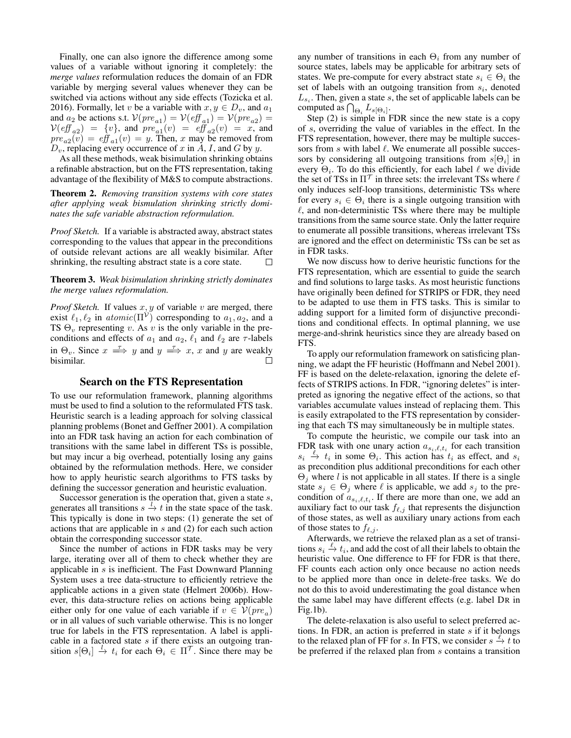Finally, one can also ignore the difference among some values of a variable without ignoring it completely: the *merge values* reformulation reduces the domain of an FDR variable by merging several values whenever they can be switched via actions without any side effects (Tozicka et al. 2016). Formally, let v be a variable with  $x, y \in D_v$ , and  $a_1$ and  $a_2$  be actions s.t.  $V(pre_{a1}) = V(eff_{a1}) = V(pre_{a2}) =$  $V(eff_{a2}) = \{v\}$ , and  $pre_{a1}(v) = eff_{a2}(v) = x$ , and  $pre_{a2}(v) = eff_{a1}(v) = y$ . Then, x may be removed from  $D_v$ , replacing every occurrence of x in A, I, and G by y.

As all these methods, weak bisimulation shrinking obtains a refinable abstraction, but on the FTS representation, taking advantage of the flexibility of M&S to compute abstractions.

Theorem 2. *Removing transition systems with core states after applying weak bismulation shrinking strictly dominates the safe variable abstraction reformulation.*

*Proof Sketch.* If a variable is abstracted away, abstract states corresponding to the values that appear in the preconditions of outside relevant actions are all weakly bisimilar. After shrinking, the resulting abstract state is a core state.  $\Box$ 

Theorem 3. *Weak bisimulation shrinking strictly dominates the merge values reformulation.*

*Proof Sketch.* If values  $x, y$  of variable  $v$  are merged, there exist  $\ell_1, \ell_2$  in  $atomic(\Pi^{\mathcal{V}})$  corresponding to  $a_1, a_2$ , and a TS  $\Theta_v$  representing v. As v is the only variable in the preconditions and effects of  $a_1$  and  $a_2$ ,  $\ell_1$  and  $\ell_2$  are  $\tau$ -labels in  $\Theta_v$ . Since  $x \stackrel{\tau}{\implies} y$  and  $y \stackrel{\tau}{\implies} x$ , x and y are weakly bisimilar.  $\Box$ 

## Search on the FTS Representation

To use our reformulation framework, planning algorithms must be used to find a solution to the reformulated FTS task. Heuristic search is a leading approach for solving classical planning problems (Bonet and Geffner 2001). A compilation into an FDR task having an action for each combination of transitions with the same label in different TSs is possible, but may incur a big overhead, potentially losing any gains obtained by the reformulation methods. Here, we consider how to apply heuristic search algorithms to FTS tasks by defining the successor generation and heuristic evaluation.

Successor generation is the operation that, given a state s, generates all transitions  $s \stackrel{l}{\rightarrow} t$  in the state space of the task. This typically is done in two steps: (1) generate the set of actions that are applicable in s and (2) for each such action obtain the corresponding successor state.

Since the number of actions in FDR tasks may be very large, iterating over all of them to check whether they are applicable in s is inefficient. The Fast Downward Planning System uses a tree data-structure to efficiently retrieve the applicable actions in a given state (Helmert 2006b). However, this data-structure relies on actions being applicable either only for one value of each variable if  $v \in V(pre_a)$ or in all values of such variable otherwise. This is no longer true for labels in the FTS representation. A label is applicable in a factored state  $s$  if there exists an outgoing transition  $s[\Theta_i] \stackrel{l}{\rightarrow} t_i$  for each  $\Theta_i \in \Pi^{\mathcal{T}}$ . Since there may be

any number of transitions in each  $\Theta_i$  from any number of source states, labels may be applicable for arbitrary sets of states. We pre-compute for every abstract state  $s_i \in \Theta_i$  the set of labels with an outgoing transition from  $s_i$ , denoted  $L_{s_i}$ . Then, given a state s, the set of applicable labels can be computed as  $\bigcap_{\Theta_i} L_{s[\Theta_i]}.$ 

Step (2) is simple in FDR since the new state is a copy of s, overriding the value of variables in the effect. In the FTS representation, however, there may be multiple successors from s with label  $\ell$ . We enumerate all possible successors by considering all outgoing transitions from  $s[\Theta_i]$  in every  $\Theta_i$ . To do this efficiently, for each label  $\ell$  we divide the set of TSs in  $\Pi^{\mathcal{T}}$  in three sets: the irrelevant TSs where  $\ell$ only induces self-loop transitions, deterministic TSs where for every  $s_i \in \Theta_i$  there is a single outgoing transition with  $\ell$ , and non-deterministic TSs where there may be multiple transitions from the same source state. Only the latter require to enumerate all possible transitions, whereas irrelevant TSs are ignored and the effect on deterministic TSs can be set as in FDR tasks.

We now discuss how to derive heuristic functions for the FTS representation, which are essential to guide the search and find solutions to large tasks. As most heuristic functions have originally been defined for STRIPS or FDR, they need to be adapted to use them in FTS tasks. This is similar to adding support for a limited form of disjunctive preconditions and conditional effects. In optimal planning, we use merge-and-shrink heuristics since they are already based on FTS.

To apply our reformulation framework on satisficing planning, we adapt the FF heuristic (Hoffmann and Nebel 2001). FF is based on the delete-relaxation, ignoring the delete effects of STRIPS actions. In FDR, "ignoring deletes" is interpreted as ignoring the negative effect of the actions, so that variables accumulate values instead of replacing them. This is easily extrapolated to the FTS representation by considering that each TS may simultaneously be in multiple states.

To compute the heuristic, we compile our task into an FDR task with one unary action  $a_{s_i,\ell,t_i}$  for each transition  $s_i \stackrel{\ell}{\to} t_i$  in some  $\Theta_i$ . This action has  $t_i$  as effect, and  $s_i$ as precondition plus additional preconditions for each other  $\Theta_i$  where l is not applicable in all states. If there is a single state  $s_j \in \Theta_j$  where  $\ell$  is applicable, we add  $s_j$  to the precondition of  $a_{s_i,\ell,t_i}$ . If there are more than one, we add an auxiliary fact to our task  $f_{\ell,j}$  that represents the disjunction of those states, as well as auxiliary unary actions from each of those states to  $f_{\ell,j}$ .

Afterwards, we retrieve the relaxed plan as a set of transitions  $s_i \stackrel{\ell}{\to} t_i$ , and add the cost of all their labels to obtain the heuristic value. One difference to FF for FDR is that there, FF counts each action only once because no action needs to be applied more than once in delete-free tasks. We do not do this to avoid underestimating the goal distance when the same label may have different effects (e.g. label DR in Fig.1b).

The delete-relaxation is also useful to select preferred actions. In FDR, an action is preferred in state  $s$  if it belongs to the relaxed plan of FF for s. In FTS, we consider  $s \stackrel{\ell}{\to} t$  to be preferred if the relaxed plan from s contains a transition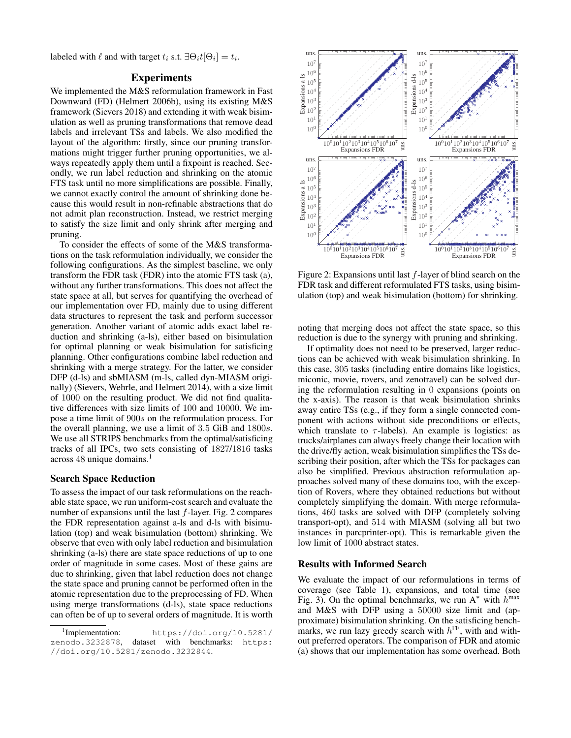labeled with  $\ell$  and with target  $t_i$  s.t.  $\exists \Theta_i t[\Theta_i] = t_i$ .

# Experiments

We implemented the M&S reformulation framework in Fast Downward (FD) (Helmert 2006b), using its existing M&S framework (Sievers 2018) and extending it with weak bisimulation as well as pruning transformations that remove dead labels and irrelevant TSs and labels. We also modified the layout of the algorithm: firstly, since our pruning transformations might trigger further pruning opportunities, we always repeatedly apply them until a fixpoint is reached. Secondly, we run label reduction and shrinking on the atomic FTS task until no more simplifications are possible. Finally, we cannot exactly control the amount of shrinking done because this would result in non-refinable abstractions that do not admit plan reconstruction. Instead, we restrict merging to satisfy the size limit and only shrink after merging and pruning.

To consider the effects of some of the M&S transformations on the task reformulation individually, we consider the following configurations. As the simplest baseline, we only transform the FDR task (FDR) into the atomic FTS task (a), without any further transformations. This does not affect the state space at all, but serves for quantifying the overhead of our implementation over FD, mainly due to using different data structures to represent the task and perform successor generation. Another variant of atomic adds exact label reduction and shrinking (a-ls), either based on bisimulation for optimal planning or weak bisimulation for satisficing planning. Other configurations combine label reduction and shrinking with a merge strategy. For the latter, we consider DFP (d-ls) and sbMIASM (m-ls, called dyn-MIASM originally) (Sievers, Wehrle, and Helmert 2014), with a size limit of 1000 on the resulting product. We did not find qualitative differences with size limits of 100 and 10000. We impose a time limit of 900s on the reformulation process. For the overall planning, we use a limit of 3.5 GiB and 1800s. We use all STRIPS benchmarks from the optimal/satisficing tracks of all IPCs, two sets consisting of 1827/1816 tasks across 48 unique domains.<sup>1</sup>

# Search Space Reduction

To assess the impact of our task reformulations on the reachable state space, we run uniform-cost search and evaluate the number of expansions until the last  $f$ -layer. Fig. 2 compares the FDR representation against a-ls and d-ls with bisimulation (top) and weak bisimulation (bottom) shrinking. We observe that even with only label reduction and bisimulation shrinking (a-ls) there are state space reductions of up to one order of magnitude in some cases. Most of these gains are due to shrinking, given that label reduction does not change the state space and pruning cannot be performed often in the atomic representation due to the preprocessing of FD. When using merge transformations (d-ls), state space reductions can often be of up to several orders of magnitude. It is worth



Figure 2: Expansions until last  $f$ -layer of blind search on the FDR task and different reformulated FTS tasks, using bisimulation (top) and weak bisimulation (bottom) for shrinking.

noting that merging does not affect the state space, so this reduction is due to the synergy with pruning and shrinking.

If optimality does not need to be preserved, larger reductions can be achieved with weak bisimulation shrinking. In this case, 305 tasks (including entire domains like logistics, miconic, movie, rovers, and zenotravel) can be solved during the reformulation resulting in 0 expansions (points on the x-axis). The reason is that weak bisimulation shrinks away entire TSs (e.g., if they form a single connected component with actions without side preconditions or effects, which translate to  $\tau$ -labels). An example is logistics: as trucks/airplanes can always freely change their location with the drive/fly action, weak bisimulation simplifies the TSs describing their position, after which the TSs for packages can also be simplified. Previous abstraction reformulation approaches solved many of these domains too, with the exception of Rovers, where they obtained reductions but without completely simplifying the domain. With merge reformulations, 460 tasks are solved with DFP (completely solving transport-opt), and 514 with MIASM (solving all but two instances in parcprinter-opt). This is remarkable given the low limit of 1000 abstract states.

#### Results with Informed Search

We evaluate the impact of our reformulations in terms of coverage (see Table 1), expansions, and total time (see Fig. 3). On the optimal benchmarks, we run  $A^*$  with  $h^{max}$ and M&S with DFP using a 50000 size limit and (approximate) bisimulation shrinking. On the satisficing benchmarks, we run lazy greedy search with  $h^{\text{FF}}$ , with and without preferred operators. The comparison of FDR and atomic (a) shows that our implementation has some overhead. Both

 $1$ Implementation: https://doi.org/10.5281/ zenodo.3232878, dataset with benchmarks: https: //doi.org/10.5281/zenodo.3232844.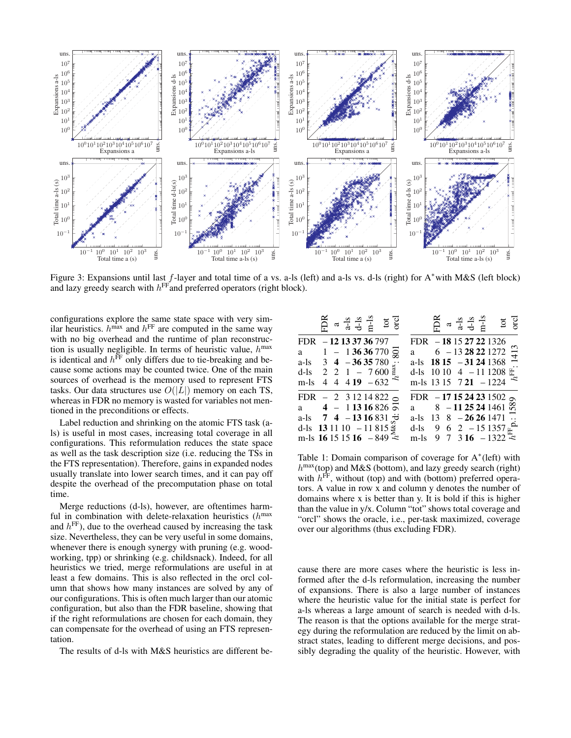

Figure 3: Expansions until last f-layer and total time of a vs. a-ls (left) and a-ls vs. d-ls (right) for A∗with M&S (left block) and lazy greedy search with  $h^{\text{FF}}$  and preferred operators (right block).

configurations explore the same state space with very similar heuristics.  $h^{\text{max}}$  and  $h^{\text{FF}}$  are computed in the same way with no big overhead and the runtime of plan reconstruction is usually negligible. In terms of heuristic value,  $h^{\text{max}}$ is identical and  $h^{\text{FF}}$  only differs due to tie-breaking and because some actions may be counted twice. One of the main sources of overhead is the memory used to represent FTS tasks. Our data structures use  $O(|L|)$  memory on each TS, whereas in FDR no memory is wasted for variables not mentioned in the preconditions or effects.

Label reduction and shrinking on the atomic FTS task (als) is useful in most cases, increasing total coverage in all configurations. This reformulation reduces the state space as well as the task description size (i.e. reducing the TSs in the FTS representation). Therefore, gains in expanded nodes usually translate into lower search times, and it can pay off despite the overhead of the precomputation phase on total time.

Merge reductions (d-ls), however, are oftentimes harmful in combination with delete-relaxation heuristics  $(h<sup>max</sup>)$ and  $h<sup>FF</sup>$ ), due to the overhead caused by increasing the task size. Nevertheless, they can be very useful in some domains, whenever there is enough synergy with pruning (e.g. woodworking, tpp) or shrinking (e.g. childsnack). Indeed, for all heuristics we tried, merge reformulations are useful in at least a few domains. This is also reflected in the orcl column that shows how many instances are solved by any of our configurations. This is often much larger than our atomic configuration, but also than the FDR baseline, showing that if the right reformulations are chosen for each domain, they can compensate for the overhead of using an FTS representation.

The results of d-ls with M&S heuristics are different be-

|                                     |  |  | FDR<br>$a \rightarrow a + s$<br>$d \rightarrow s$<br>$d \rightarrow s$<br>$d \rightarrow s$<br>$d \rightarrow s$<br>$d \rightarrow s$<br>$d \rightarrow s$ |                                         |  |  | $\frac{34}{6}$ a $\frac{4}{6}$ -3 $\frac{4}{6}$ -4 $\frac{5}{6}$ to GCl |      |
|-------------------------------------|--|--|------------------------------------------------------------------------------------------------------------------------------------------------------------|-----------------------------------------|--|--|-------------------------------------------------------------------------|------|
| FDR - 12 13 37 36 797               |  |  |                                                                                                                                                            | FDR - 18 15 27 22 1326                  |  |  |                                                                         |      |
|                                     |  |  | a 1 - 1 36 36 770 $\frac{1}{22}$                                                                                                                           | a $6 - 1328221272$                      |  |  |                                                                         | 1413 |
| a-ls $3\quad 4\quad -36\, 35\, 780$ |  |  | $\mathbf{B}$                                                                                                                                               | a-ls $1815 - 31241368$                  |  |  |                                                                         |      |
|                                     |  |  | d-ls 2 2 1 - 7 600 $\frac{3}{2}$                                                                                                                           | d-ls 10 10 4 - 11 1208 $\pm$            |  |  |                                                                         |      |
| $m-1s$                              |  |  | 4 4 4 19 $-632$                                                                                                                                            | m-ls $13\ 15\ 7\ 21\ -1224$             |  |  |                                                                         |      |
|                                     |  |  | FDR $-2$ 3 12 14 822 $\circ$                                                                                                                               | FDR $-171524231502$ or                  |  |  |                                                                         |      |
|                                     |  |  | a $4 - 11316826$                                                                                                                                           | a $8 - 1125241461 \, \text{m}$          |  |  |                                                                         |      |
|                                     |  |  | a-ls $7\ 4\ -13\ 16\ 831\ \div$                                                                                                                            | a-ls                                    |  |  | $13 \quad 8 \quad -26 \quad 26 \quad 1471 \quad \ldots$                 |      |
|                                     |  |  | d-ls 13 11 10 $-11815\frac{3}{5}$                                                                                                                          | d-ls 9 6 2 - 15 1357 $\mu$ <sup>0</sup> |  |  |                                                                         |      |
|                                     |  |  | m-ls 16 15 15 16 $-849 \approx$                                                                                                                            | m-ls 9 7 3 16 $-1322$                   |  |  |                                                                         |      |

Table 1: Domain comparison of coverage for  $A^*(left)$  with  $h^{\text{max}}$ (top) and M&S (bottom), and lazy greedy search (right) with  $h^{\text{FF}}$ , without (top) and with (bottom) preferred operators. A value in row x and column y denotes the number of domains where x is better than y. It is bold if this is higher than the value in y/x. Column "tot" shows total coverage and "orcl" shows the oracle, i.e., per-task maximized, coverage over our algorithms (thus excluding FDR).

cause there are more cases where the heuristic is less informed after the d-ls reformulation, increasing the number of expansions. There is also a large number of instances where the heuristic value for the initial state is perfect for a-ls whereas a large amount of search is needed with d-ls. The reason is that the options available for the merge strategy during the reformulation are reduced by the limit on abstract states, leading to different merge decisions, and possibly degrading the quality of the heuristic. However, with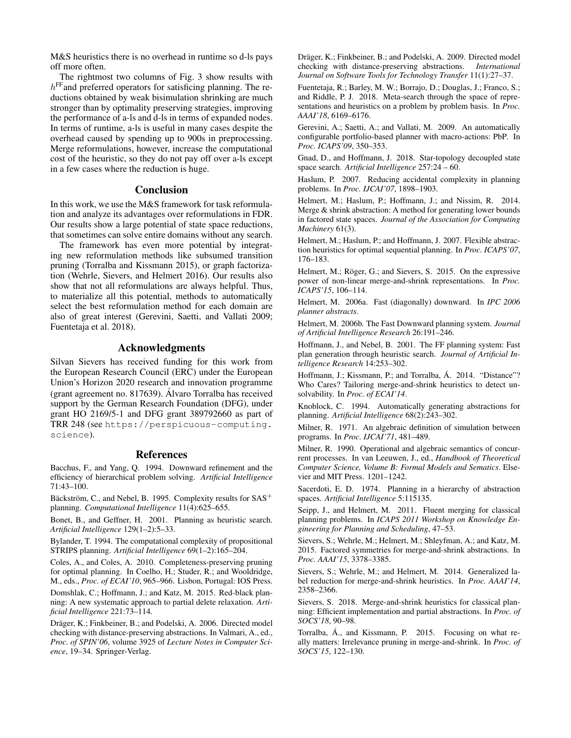M&S heuristics there is no overhead in runtime so d-ls pays off more often.

The rightmost two columns of Fig. 3 show results with  $h<sup>FF</sup>$  and preferred operators for satisficing planning. The reductions obtained by weak bisimulation shrinking are much stronger than by optimality preserving strategies, improving the performance of a-ls and d-ls in terms of expanded nodes. In terms of runtime, a-ls is useful in many cases despite the overhead caused by spending up to 900s in preprocessing. Merge reformulations, however, increase the computational cost of the heuristic, so they do not pay off over a-ls except in a few cases where the reduction is huge.

# Conclusion

In this work, we use the M&S framework for task reformulation and analyze its advantages over reformulations in FDR. Our results show a large potential of state space reductions, that sometimes can solve entire domains without any search.

The framework has even more potential by integrating new reformulation methods like subsumed transition pruning (Torralba and Kissmann 2015), or graph factorization (Wehrle, Sievers, and Helmert 2016). Our results also show that not all reformulations are always helpful. Thus, to materialize all this potential, methods to automatically select the best reformulation method for each domain are also of great interest (Gerevini, Saetti, and Vallati 2009; Fuentetaja et al. 2018).

# Acknowledgments

Silvan Sievers has received funding for this work from the European Research Council (ERC) under the European Union's Horizon 2020 research and innovation programme (grant agreement no. 817639). Alvaro Torralba has received ´ support by the German Research Foundation (DFG), under grant HO 2169/5-1 and DFG grant 389792660 as part of TRR 248 (see https://perspicuous-computing. science).

#### References

Bacchus, F., and Yang, Q. 1994. Downward refinement and the efficiency of hierarchical problem solving. *Artificial Intelligence* 71:43–100.

Bäckström, C., and Nebel, B. 1995. Complexity results for  $SAS^+$ planning. *Computational Intelligence* 11(4):625–655.

Bonet, B., and Geffner, H. 2001. Planning as heuristic search. *Artificial Intelligence* 129(1–2):5–33.

Bylander, T. 1994. The computational complexity of propositional STRIPS planning. *Artificial Intelligence* 69(1–2):165–204.

Coles, A., and Coles, A. 2010. Completeness-preserving pruning for optimal planning. In Coelho, H.; Studer, R.; and Wooldridge, M., eds., *Proc. of ECAI'10*, 965–966. Lisbon, Portugal: IOS Press.

Domshlak, C.; Hoffmann, J.; and Katz, M. 2015. Red-black planning: A new systematic approach to partial delete relaxation. *Artificial Intelligence* 221:73–114.

Dräger, K.; Finkbeiner, B.; and Podelski, A. 2006. Directed model checking with distance-preserving abstractions. In Valmari, A., ed., *Proc. of SPIN'06*, volume 3925 of *Lecture Notes in Computer Science*, 19–34. Springer-Verlag.

Dräger, K.; Finkbeiner, B.; and Podelski, A. 2009. Directed model checking with distance-preserving abstractions. *International Journal on Software Tools for Technology Transfer* 11(1):27–37.

Fuentetaja, R.; Barley, M. W.; Borrajo, D.; Douglas, J.; Franco, S.; and Riddle, P. J. 2018. Meta-search through the space of representations and heuristics on a problem by problem basis. In *Proc. AAAI'18*, 6169–6176.

Gerevini, A.; Saetti, A.; and Vallati, M. 2009. An automatically configurable portfolio-based planner with macro-actions: PbP. In *Proc. ICAPS'09*, 350–353.

Gnad, D., and Hoffmann, J. 2018. Star-topology decoupled state space search. *Artificial Intelligence* 257:24 – 60.

Haslum, P. 2007. Reducing accidental complexity in planning problems. In *Proc. IJCAI'07*, 1898–1903.

Helmert, M.; Haslum, P.; Hoffmann, J.; and Nissim, R. 2014. Merge & shrink abstraction: A method for generating lower bounds in factored state spaces. *Journal of the Association for Computing Machinery* 61(3).

Helmert, M.; Haslum, P.; and Hoffmann, J. 2007. Flexible abstraction heuristics for optimal sequential planning. In *Proc. ICAPS'07*, 176–183.

Helmert, M.; Röger, G.; and Sievers, S. 2015. On the expressive power of non-linear merge-and-shrink representations. In *Proc. ICAPS'15*, 106–114.

Helmert, M. 2006a. Fast (diagonally) downward. In *IPC 2006 planner abstracts*.

Helmert, M. 2006b. The Fast Downward planning system. *Journal of Artificial Intelligence Research* 26:191–246.

Hoffmann, J., and Nebel, B. 2001. The FF planning system: Fast plan generation through heuristic search. *Journal of Artificial Intelligence Research* 14:253–302.

Hoffmann, J.; Kissmann, P.; and Torralba, Á. 2014. "Distance"? Who Cares? Tailoring merge-and-shrink heuristics to detect unsolvability. In *Proc. of ECAI'14*.

Knoblock, C. 1994. Automatically generating abstractions for planning. *Artificial Intelligence* 68(2):243–302.

Milner, R. 1971. An algebraic definition of simulation between programs. In *Proc. IJCAI'71*, 481–489.

Milner, R. 1990. Operational and algebraic semantics of concurrent processes. In van Leeuwen, J., ed., *Handbook of Theoretical Computer Science, Volume B: Formal Models and Sematics*. Elsevier and MIT Press. 1201–1242.

Sacerdoti, E. D. 1974. Planning in a hierarchy of abstraction spaces. *Artificial Intelligence* 5:115135.

Seipp, J., and Helmert, M. 2011. Fluent merging for classical planning problems. In *ICAPS 2011 Workshop on Knowledge Engineering for Planning and Scheduling*, 47–53.

Sievers, S.; Wehrle, M.; Helmert, M.; Shleyfman, A.; and Katz, M. 2015. Factored symmetries for merge-and-shrink abstractions. In *Proc. AAAI'15*, 3378–3385.

Sievers, S.; Wehrle, M.; and Helmert, M. 2014. Generalized label reduction for merge-and-shrink heuristics. In *Proc. AAAI'14*, 2358–2366.

Sievers, S. 2018. Merge-and-shrink heuristics for classical planning: Efficient implementation and partial abstractions. In *Proc. of SOCS'18*, 90–98.

Torralba, Á., and Kissmann, P. 2015. Focusing on what really matters: Irrelevance pruning in merge-and-shrink. In *Proc. of SOCS'15*, 122–130.